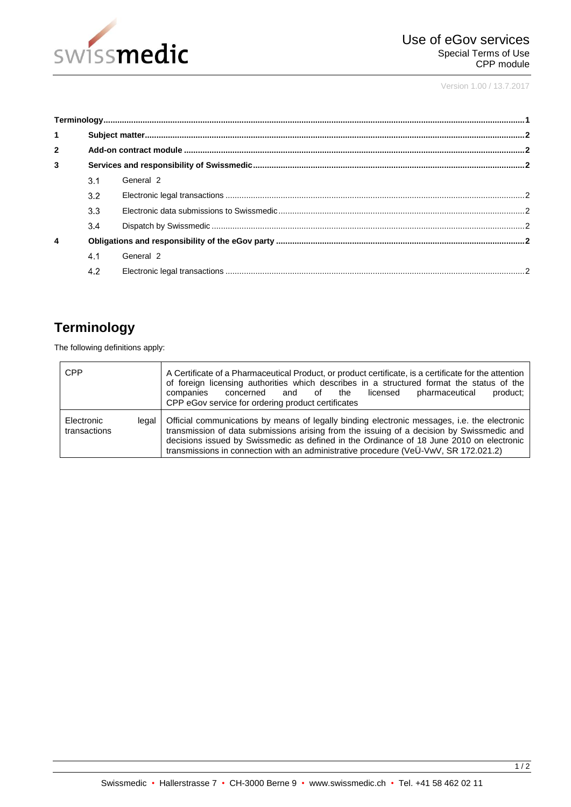

Version 1.00 / 13.7.2017

| $\mathbf{1}$     |     |           |  |  |
|------------------|-----|-----------|--|--|
| $\overline{2}$   |     |           |  |  |
| 3                |     |           |  |  |
|                  | 3.1 | General 2 |  |  |
|                  | 3.2 |           |  |  |
|                  | 3.3 |           |  |  |
|                  | 3.4 |           |  |  |
| $\boldsymbol{4}$ |     |           |  |  |
|                  | 4.1 | General 2 |  |  |
|                  | 4.2 |           |  |  |

# <span id="page-0-0"></span>**Terminology**

The following definitions apply:

| <b>CPP</b>                            | A Certificate of a Pharmaceutical Product, or product certificate, is a certificate for the attention<br>of foreign licensing authorities which describes in a structured format the status of the<br>concerned and of the licensed<br>companies<br>product;<br>pharmaceutical<br>CPP eGov service for ordering product certificates                                          |
|---------------------------------------|-------------------------------------------------------------------------------------------------------------------------------------------------------------------------------------------------------------------------------------------------------------------------------------------------------------------------------------------------------------------------------|
| Electronic<br>legal I<br>transactions | Official communications by means of legally binding electronic messages, i.e. the electronic<br>transmission of data submissions arising from the issuing of a decision by Swissmedic and<br>decisions issued by Swissmedic as defined in the Ordinance of 18 June 2010 on electronic<br>transmissions in connection with an administrative procedure (VeU-VwV, SR 172.021.2) |